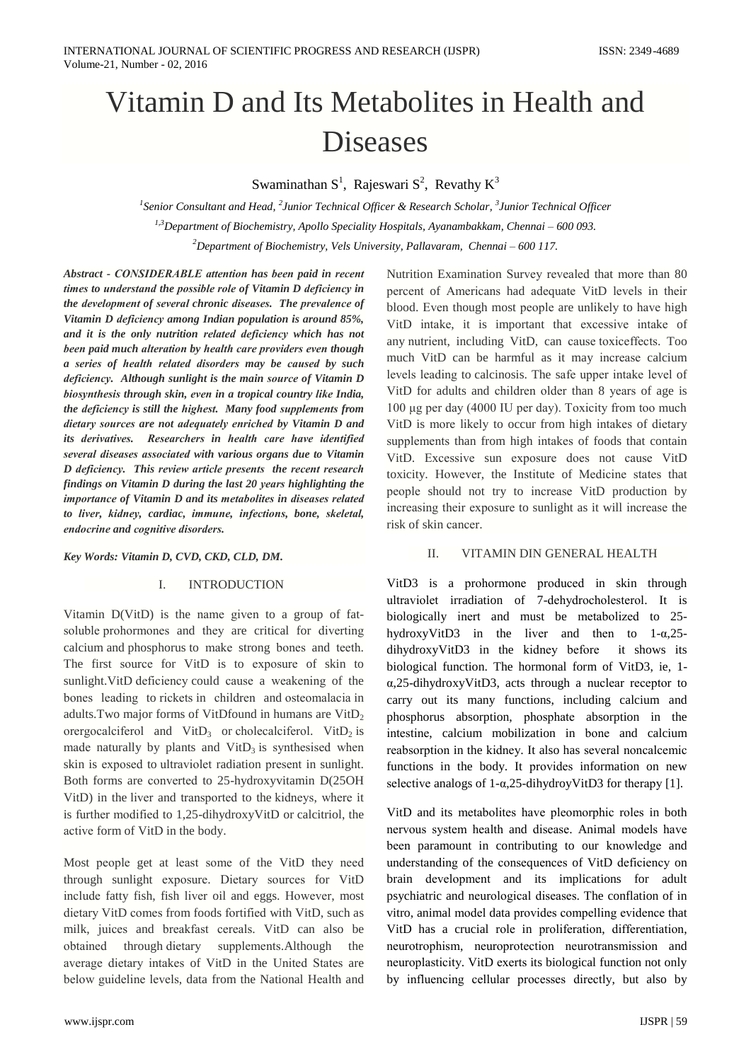# Vitamin D and Its Metabolites in Health and **Diseases**

Swaminathan  $S^1$ , Rajeswari  $S^2$ , Revathy  $K^3$ 

<sup>1</sup>Senior Consultant and Head,  $^2$ Junior Technical Officer & Research Scholar,  $^3$ Junior Technical Officer <sup>1,3</sup>Department of Biochemistry, Apollo Speciality Hospitals, Ayanambakkam, Chennai – 600 093. <sup>2</sup>Department of Biochemistry, Vels University, Pallavaram, Chennai – 600 117.

Abstract - CONSIDERABLE attention has been paid in recent times to understand the possible role of Vitamin D deficiency in the development of several chronic diseases. The prevalence of Vitamin D deficiency among Indian population is around 85%, and it is the only nutrition related deficiency which has not been paid much alteration by health care providers even though a series of health related disorders may be caused by such deficiency. Although sunlight is the main source of Vitamin D biosynthesis through skin, even in a tropical country like India, the deficiency is still the highest. Many food supplements from dietary sources are not adequately enriched by Vitamin D and its derivatives. Researchers in health care have identified several diseases associated with various organs due to Vitamin D deficiency. This review article presents the recent research findings on Vitamin D during the last 20 years highlighting the importance of Vitamin D and its metabolites in diseases related to liver, kidney, cardiac, immune, infections, bone, skeletal, endocrine and cognitive disorders.

Key Words: Vitamin D, CVD, CKD, CLD, DM.

# $\overline{L}$ **INTRODUCTION**

Vitamin D(VitD) is the name given to a group of fatsoluble prohormones and they are critical for diverting calcium and phosphorus to make strong bones and teeth. The first source for VitD is to exposure of skin to sunlight. VitD deficiency could cause a weakening of the bones leading to rickets in children and osteomalacia in adults. Two major forms of VitDfound in humans are VitD<sub>2</sub> orergocalciferol and  $VitD_3$  or cholecalciferol. VitD<sub>2</sub> is made naturally by plants and  $VitD<sub>3</sub>$  is synthesised when skin is exposed to ultraviolet radiation present in sunlight. Both forms are converted to 25-hydroxyvitamin D(25OH VitD) in the liver and transported to the kidneys, where it is further modified to 1,25-dihydroxyVitD or calcitriol, the active form of VitD in the body.

Most people get at least some of the VitD they need through sunlight exposure. Dietary sources for VitD include fatty fish, fish liver oil and eggs. However, most dietary VitD comes from foods fortified with VitD, such as milk, juices and breakfast cereals. VitD can also be through dietary supplements.Although obtained the average dietary intakes of VitD in the United States are below guideline levels, data from the National Health and Nutrition Examination Survey revealed that more than 80 percent of Americans had adequate VitD levels in their blood. Even though most people are unlikely to have high VitD intake, it is important that excessive intake of any nutrient, including VitD, can cause toxiceffects. Too much VitD can be harmful as it may increase calcium levels leading to calcinosis. The safe upper intake level of VitD for adults and children older than 8 years of age is 100 µg per day (4000 IU per day). Toxicity from too much VitD is more likely to occur from high intakes of dietary supplements than from high intakes of foods that contain VitD. Excessive sun exposure does not cause VitD toxicity. However, the Institute of Medicine states that people should not try to increase VitD production by increasing their exposure to sunlight as it will increase the risk of skin cancer.

# VITAMIN DIN GENERAL HEALTH  $\mathbf{H}$

VitD3 is a prohormone produced in skin through ultraviolet irradiation of 7-dehydrocholesterol. It is biologically inert and must be metabolized to 25hydroxyVitD3 in the liver and then to  $1-\alpha,25$ dihydroxyVitD3 in the kidney before it shows its biological function. The hormonal form of VitD3, ie, 1- $\alpha$ ,25-dihydroxyVitD3, acts through a nuclear receptor to carry out its many functions, including calcium and phosphorus absorption, phosphate absorption in the intestine, calcium mobilization in bone and calcium reabsorption in the kidney. It also has several noncalcemic functions in the body. It provides information on new selective analogs of  $1-\alpha$ , 25-dihydroyVitD3 for therapy [1].

VitD and its metabolites have pleomorphic roles in both nervous system health and disease. Animal models have been paramount in contributing to our knowledge and understanding of the consequences of VitD deficiency on brain development and its implications for adult psychiatric and neurological diseases. The conflation of in vitro, animal model data provides compelling evidence that VitD has a crucial role in proliferation, differentiation, neurotrophism, neuroprotection neurotransmission and neuroplasticity. VitD exerts its biological function not only by influencing cellular processes directly, but also by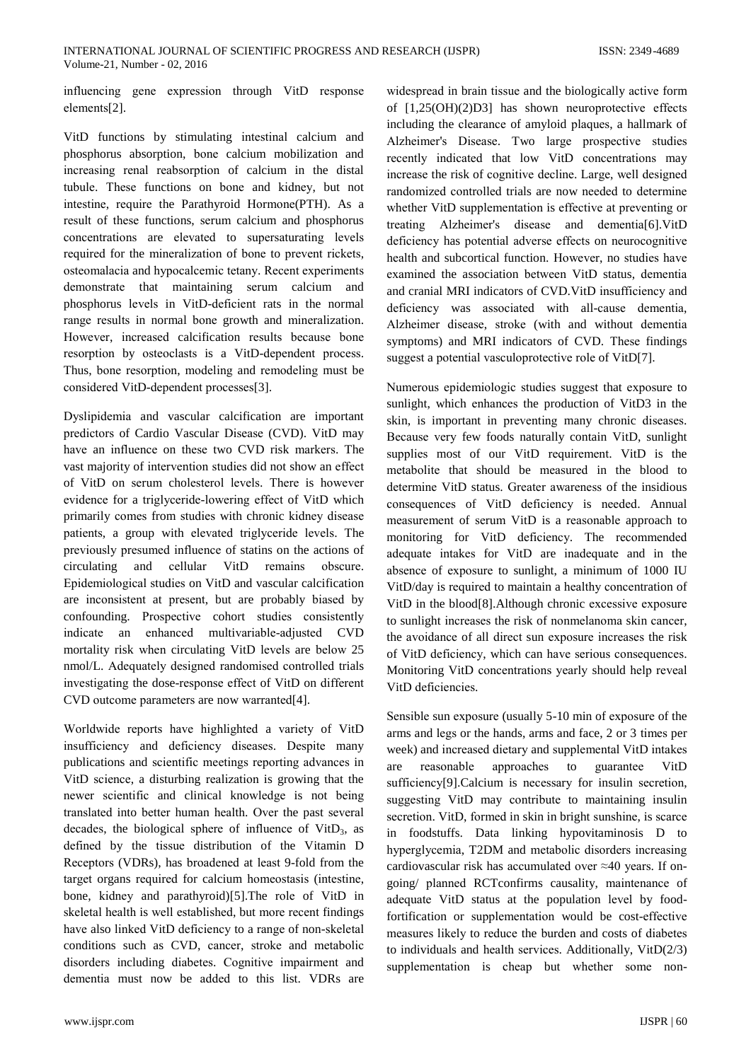influencing gene expression through VitD response elements[2].

VitD functions by stimulating intestinal calcium and phosphorus absorption, bone calcium mobilization and increasing renal reabsorption of calcium in the distal tubule. These functions on bone and kidney, but not intestine, require the Parathyroid Hormone(PTH). As a result of these functions, serum calcium and phosphorus concentrations are elevated to supersaturating levels required for the mineralization of bone to prevent rickets, osteomalacia and hypocalcemic tetany. Recent experiments demonstrate that maintaining serum calcium and phosphorus levels in VitD-deficient rats in the normal range results in normal bone growth and mineralization. However, increased calcification results because bone resorption by osteoclasts is a VitD-dependent process. Thus, bone resorption, modeling and remodeling must be considered VitD-dependent processes[3].

Dyslipidemia and vascular calcification are important predictors of Cardio Vascular Disease (CVD). VitD may have an influence on these two CVD risk markers. The vast majority of intervention studies did not show an effect of VitD on serum cholesterol levels. There is however evidence for a triglyceride-lowering effect of VitD which primarily comes from studies with chronic kidney disease patients, a group with elevated triglyceride levels. The previously presumed influence of statins on the actions of circulating and cellular VitD remains obscure. Epidemiological studies on VitD and vascular calcification are inconsistent at present, but are probably biased by confounding. Prospective cohort studies consistently indicate an enhanced multivariable-adjusted **CVD** mortality risk when circulating VitD levels are below 25 nmol/L. Adequately designed randomised controlled trials investigating the dose-response effect of VitD on different CVD outcome parameters are now warranted[4].

Worldwide reports have highlighted a variety of VitD insufficiency and deficiency diseases. Despite many publications and scientific meetings reporting advances in VitD science, a disturbing realization is growing that the newer scientific and clinical knowledge is not being translated into better human health. Over the past several decades, the biological sphere of influence of  $VitD<sub>3</sub>$ , as defined by the tissue distribution of the Vitamin D Receptors (VDRs), has broadened at least 9-fold from the target organs required for calcium homeostasis (intestine, bone, kidney and parathyroid)[5]. The role of VitD in skeletal health is well established, but more recent findings have also linked VitD deficiency to a range of non-skeletal conditions such as CVD, cancer, stroke and metabolic disorders including diabetes. Cognitive impairment and dementia must now be added to this list. VDRs are

widespread in brain tissue and the biologically active form of  $[1,25(OH)(2)D3]$  has shown neuroprotective effects including the clearance of amyloid plaques, a hallmark of Alzheimer's Disease. Two large prospective studies recently indicated that low VitD concentrations may increase the risk of cognitive decline. Large, well designed randomized controlled trials are now needed to determine whether VitD supplementation is effective at preventing or treating Alzheimer's disease and dementia[6]. VitD deficiency has potential adverse effects on neurocognitive health and subcortical function. However, no studies have examined the association between VitD status, dementia and cranial MRI indicators of CVD. VitD insufficiency and deficiency was associated with all-cause dementia, Alzheimer disease, stroke (with and without dementia symptoms) and MRI indicators of CVD. These findings suggest a potential vasculoprotective role of VitD[7].

Numerous epidemiologic studies suggest that exposure to sunlight, which enhances the production of VitD3 in the skin, is important in preventing many chronic diseases. Because very few foods naturally contain VitD, sunlight supplies most of our VitD requirement. VitD is the metabolite that should be measured in the blood to determine VitD status. Greater awareness of the insidious consequences of VitD deficiency is needed. Annual measurement of serum VitD is a reasonable approach to monitoring for VitD deficiency. The recommended adequate intakes for VitD are inadequate and in the absence of exposure to sunlight, a minimum of 1000 IU VitD/day is required to maintain a healthy concentration of VitD in the blood[8]. Although chronic excessive exposure to sunlight increases the risk of nonmelanoma skin cancer, the avoidance of all direct sun exposure increases the risk of VitD deficiency, which can have serious consequences. Monitoring VitD concentrations yearly should help reveal VitD deficiencies.

Sensible sun exposure (usually 5-10 min of exposure of the arms and legs or the hands, arms and face, 2 or 3 times per week) and increased dietary and supplemental VitD intakes are reasonable approaches to guarantee VitD sufficiency[9].Calcium is necessary for insulin secretion, suggesting VitD may contribute to maintaining insulin secretion. VitD, formed in skin in bright sunshine, is scarce in foodstuffs. Data linking hypovitaminosis D to hyperglycemia, T2DM and metabolic disorders increasing cardiovascular risk has accumulated over  $\approx$ 40 years. If ongoing/ planned RCTconfirms causality, maintenance of adequate VitD status at the population level by foodfortification or supplementation would be cost-effective measures likely to reduce the burden and costs of diabetes to individuals and health services. Additionally,  $VitD(2/3)$ supplementation is cheap but whether some non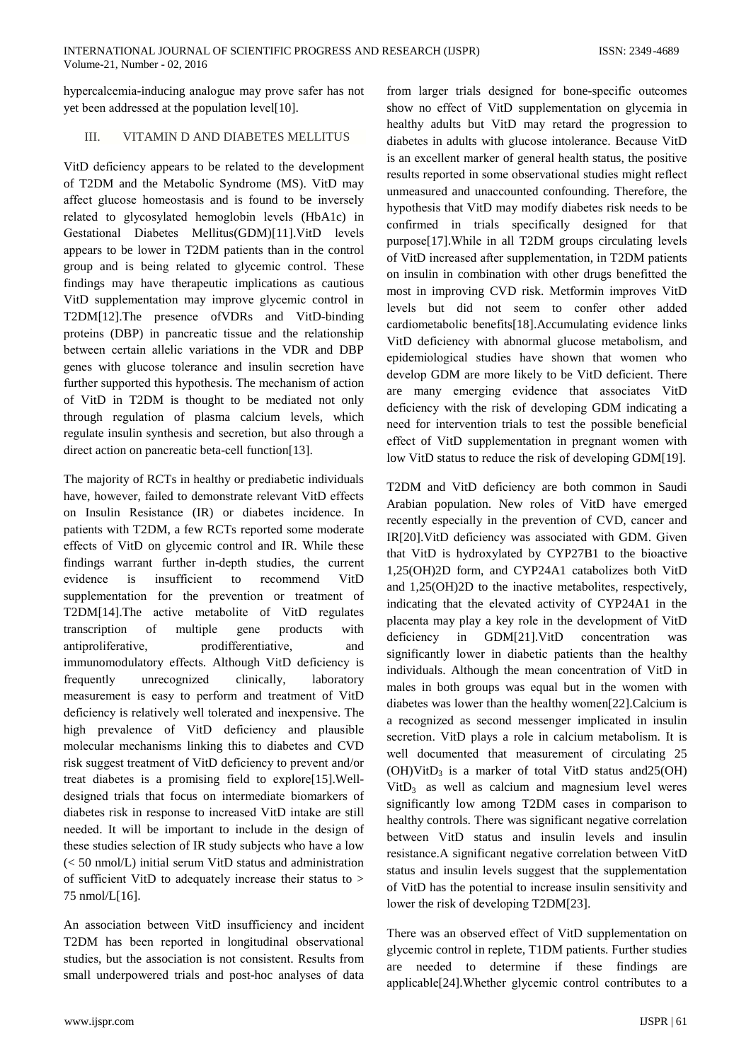hypercalcemia-inducing analogue may prove safer has not yet been addressed at the population level[10].

# VITAMIN D AND DIABETES MELLITUS **TIT**

VitD deficiency appears to be related to the development of T2DM and the Metabolic Syndrome (MS). VitD may affect glucose homeostasis and is found to be inversely related to glycosylated hemoglobin levels (HbA1c) in Gestational Diabetes Mellitus(GDM)[11].VitD levels appears to be lower in T2DM patients than in the control group and is being related to glycemic control. These findings may have therapeutic implications as cautious VitD supplementation may improve glycemic control in T2DM[12].The presence of VDRs and VitD-binding proteins (DBP) in pancreatic tissue and the relationship between certain allelic variations in the VDR and DBP genes with glucose tolerance and insulin secretion have further supported this hypothesis. The mechanism of action of VitD in T2DM is thought to be mediated not only through regulation of plasma calcium levels, which regulate insulin synthesis and secretion, but also through a direct action on pancreatic beta-cell function[13].

The majority of RCTs in healthy or prediabetic individuals have, however, failed to demonstrate relevant VitD effects on Insulin Resistance (IR) or diabetes incidence. In patients with T2DM, a few RCTs reported some moderate effects of VitD on glycemic control and IR. While these findings warrant further in-depth studies, the current evidence is insufficient to recommend VitD supplementation for the prevention or treatment of T2DM[14]. The active metabolite of VitD regulates transcription of multiple gene products with prodifferentiative, antiproliferative. and immunomodulatory effects. Although VitD deficiency is frequently unrecognized clinically, laboratory measurement is easy to perform and treatment of VitD deficiency is relatively well tolerated and inexpensive. The high prevalence of VitD deficiency and plausible molecular mechanisms linking this to diabetes and CVD risk suggest treatment of VitD deficiency to prevent and/or treat diabetes is a promising field to explore[15]. Welldesigned trials that focus on intermediate biomarkers of diabetes risk in response to increased VitD intake are still needed. It will be important to include in the design of these studies selection of IR study subjects who have a low  $(< 50 \text{ nmol/L})$  initial serum VitD status and administration of sufficient VitD to adequately increase their status to > 75 nmol/L[16].

An association between VitD insufficiency and incident T2DM has been reported in longitudinal observational studies, but the association is not consistent. Results from small underpowered trials and post-hoc analyses of data

from larger trials designed for bone-specific outcomes show no effect of VitD supplementation on glycemia in healthy adults but VitD may retard the progression to diabetes in adults with glucose intolerance. Because VitD is an excellent marker of general health status, the positive results reported in some observational studies might reflect unmeasured and unaccounted confounding. Therefore, the hypothesis that VitD may modify diabetes risk needs to be confirmed in trials specifically designed for that purpose[17]. While in all T2DM groups circulating levels of VitD increased after supplementation, in T2DM patients on insulin in combination with other drugs benefitted the most in improving CVD risk. Metformin improves VitD levels but did not seem to confer other added cardiometabolic benefits[18]. Accumulating evidence links VitD deficiency with abnormal glucose metabolism, and epidemiological studies have shown that women who develop GDM are more likely to be VitD deficient. There are many emerging evidence that associates VitD deficiency with the risk of developing GDM indicating a need for intervention trials to test the possible beneficial effect of VitD supplementation in pregnant women with low VitD status to reduce the risk of developing GDM[19].

T2DM and VitD deficiency are both common in Saudi Arabian population. New roles of VitD have emerged recently especially in the prevention of CVD, cancer and IR[20]. VitD deficiency was associated with GDM. Given that VitD is hydroxylated by CYP27B1 to the bioactive 1,25(OH)2D form, and CYP24A1 catabolizes both VitD and 1,25(OH)2D to the inactive metabolites, respectively, indicating that the elevated activity of CYP24A1 in the placenta may play a key role in the development of VitD deficiency in GDM[21].VitD concentration was significantly lower in diabetic patients than the healthy individuals. Although the mean concentration of VitD in males in both groups was equal but in the women with diabetes was lower than the healthy women[22].Calcium is a recognized as second messenger implicated in insulin secretion. VitD plays a role in calcium metabolism. It is well documented that measurement of circulating 25  $(OH)VitD<sub>3</sub>$  is a marker of total VitD status and  $25(OH)$  $VitD<sub>3</sub>$  as well as calcium and magnesium level weres significantly low among T2DM cases in comparison to healthy controls. There was significant negative correlation between VitD status and insulin levels and insulin resistance. A significant negative correlation between VitD status and insulin levels suggest that the supplementation of VitD has the potential to increase insulin sensitivity and lower the risk of developing T2DM[23].

There was an observed effect of VitD supplementation on glycemic control in replete, T1DM patients. Further studies are needed to determine if these findings are applicable[24]. Whether glycemic control contributes to a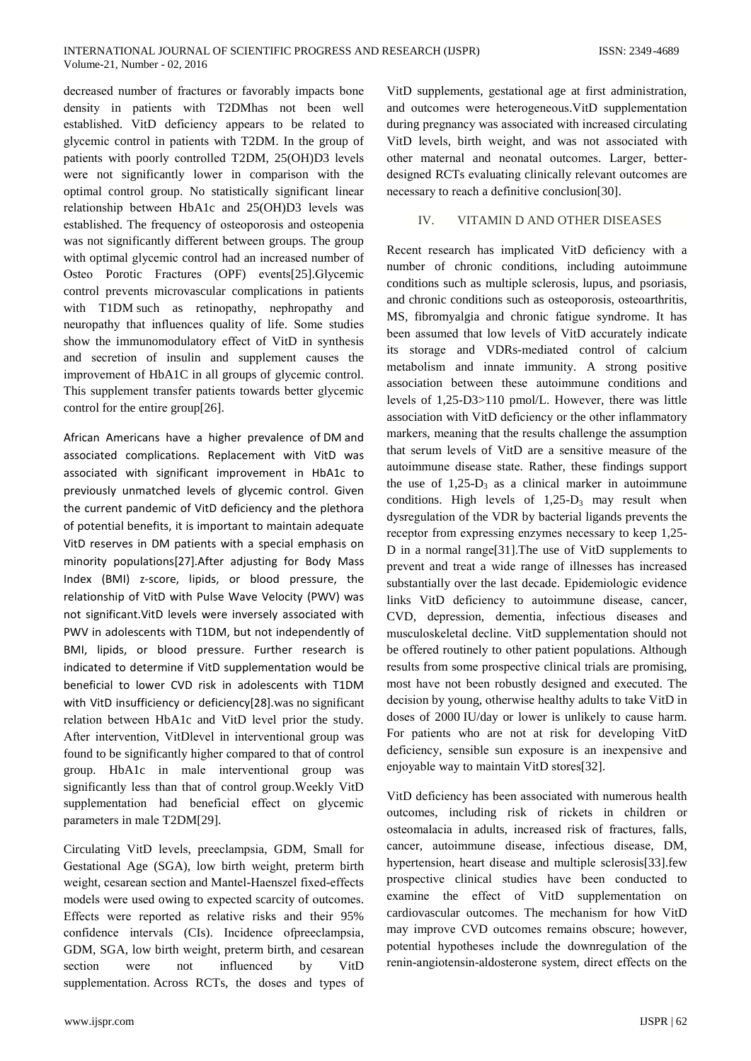decreased number of fractures or favorably impacts bone density in patients with T2DMhas not been well established. VitD deficiency appears to be related to glycemic control in patients with T2DM. In the group of patients with poorly controlled T2DM, 25(OH)D3 levels were not significantly lower in comparison with the optimal control group. No statistically significant linear relationship between HbA1c and 25(OH)D3 levels was established. The frequency of osteoporosis and osteopenia was not significantly different between groups. The group with optimal glycemic control had an increased number of Osteo Porotic Fractures (OPF) events[25]. Glycemic control prevents microvascular complications in patients with T1DM such as retinopathy, nephropathy and neuropathy that influences quality of life. Some studies show the immunomodulatory effect of VitD in synthesis and secretion of insulin and supplement causes the improvement of HbA1C in all groups of glycemic control. This supplement transfer patients towards better glycemic control for the entire group[26].

African Americans have a higher prevalence of DM and associated complications. Replacement with VitD was associated with significant improvement in HbA1c to previously unmatched levels of glycemic control. Given the current pandemic of VitD deficiency and the plethora of potential benefits, it is important to maintain adequate VitD reserves in DM patients with a special emphasis on minority populations[27]. After adjusting for Body Mass Index (BMI) z-score, lipids, or blood pressure, the relationship of VitD with Pulse Wave Velocity (PWV) was not significant. VitD levels were inversely associated with PWV in adolescents with T1DM, but not independently of BMI, lipids, or blood pressure. Further research is indicated to determine if VitD supplementation would be beneficial to lower CVD risk in adolescents with T1DM with VitD insufficiency or deficiency[28] was no significant relation between HbA1c and VitD level prior the study. After intervention, VitDlevel in interventional group was found to be significantly higher compared to that of control group. HbA1c in male interventional group was significantly less than that of control group. Weekly VitD supplementation had beneficial effect on glycemic parameters in male T2DM[29].

Circulating VitD levels, preeclampsia, GDM, Small for Gestational Age (SGA), low birth weight, preterm birth weight, cesarean section and Mantel-Haenszel fixed-effects models were used owing to expected scarcity of outcomes. Effects were reported as relative risks and their 95% confidence intervals (CIs). Incidence ofpreeclampsia, GDM, SGA, low birth weight, preterm birth, and cesarean section were influenced by VitD  $not$ supplementation. Across RCTs, the doses and types of

VitD supplements, gestational age at first administration, and outcomes were heterogeneous. VitD supplementation during pregnancy was associated with increased circulating VitD levels, birth weight, and was not associated with other maternal and neonatal outcomes. Larger, betterdesigned RCTs evaluating clinically relevant outcomes are necessary to reach a definitive conclusion [30].

# VITAMIN D AND OTHER DISEASES  $\mathbf{IV}$

Recent research has implicated VitD deficiency with a number of chronic conditions, including autoimmune conditions such as multiple sclerosis, lupus, and psoriasis, and chronic conditions such as osteoporosis, osteoarthritis, MS, fibromyalgia and chronic fatigue syndrome. It has been assumed that low levels of VitD accurately indicate its storage and VDRs-mediated control of calcium metabolism and innate immunity. A strong positive association between these autoimmune conditions and levels of 1,25-D3>110 pmol/L. However, there was little association with VitD deficiency or the other inflammatory markers, meaning that the results challenge the assumption that serum levels of VitD are a sensitive measure of the autoimmune disease state. Rather, these findings support the use of  $1,25-D_3$  as a clinical marker in autoimmune conditions. High levels of  $1,25-D_3$  may result when dysregulation of the VDR by bacterial ligands prevents the receptor from expressing enzymes necessary to keep 1,25-D in a normal range  $[31]$ . The use of VitD supplements to prevent and treat a wide range of illnesses has increased substantially over the last decade. Epidemiologic evidence links VitD deficiency to autoimmune disease, cancer, CVD, depression, dementia, infectious diseases and musculoskeletal decline. VitD supplementation should not be offered routinely to other patient populations. Although results from some prospective clinical trials are promising, most have not been robustly designed and executed. The decision by young, otherwise healthy adults to take VitD in doses of 2000 IU/day or lower is unlikely to cause harm. For patients who are not at risk for developing VitD deficiency, sensible sun exposure is an inexpensive and enjoyable way to maintain VitD stores[32].

VitD deficiency has been associated with numerous health outcomes, including risk of rickets in children or osteomalacia in adults, increased risk of fractures, falls, cancer, autoimmune disease, infectious disease, DM, hypertension, heart disease and multiple sclerosis<sup>[33]</sup>.few prospective clinical studies have been conducted to examine the effect of VitD supplementation on cardiovascular outcomes. The mechanism for how VitD may improve CVD outcomes remains obscure; however, potential hypotheses include the downregulation of the renin-angiotensin-aldosterone system, direct effects on the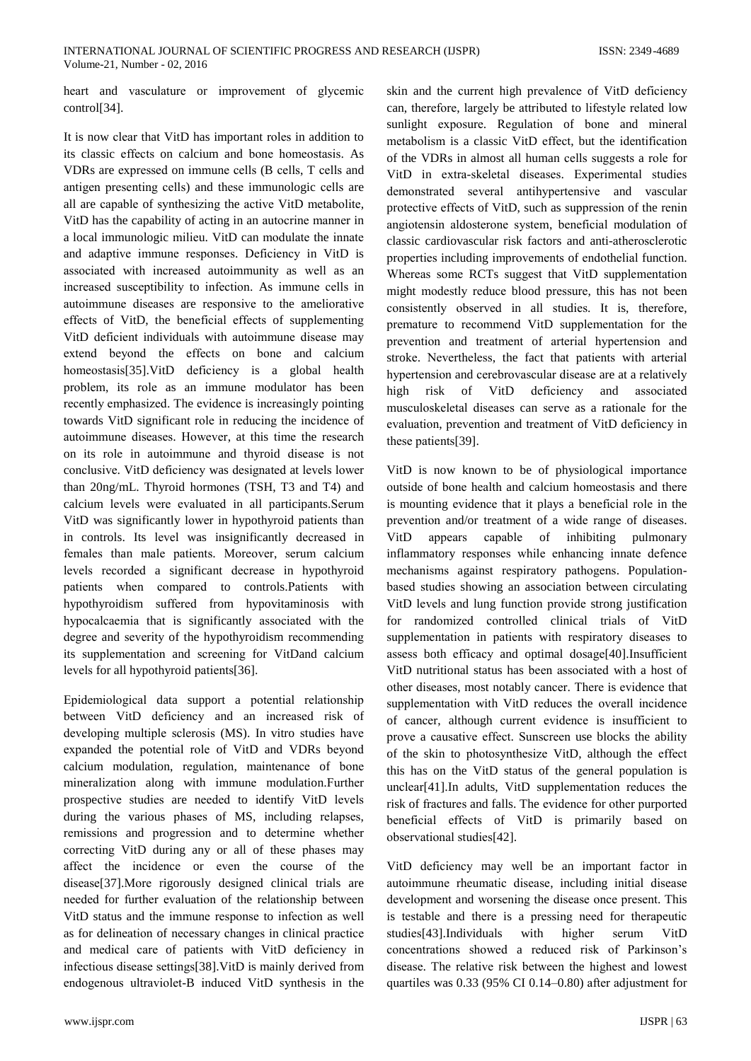heart and vasculature or improvement of glycemic control<sup>[34]</sup>.

It is now clear that VitD has important roles in addition to its classic effects on calcium and bone homeostasis. As VDRs are expressed on immune cells (B cells, T cells and antigen presenting cells) and these immunologic cells are all are capable of synthesizing the active VitD metabolite, VitD has the capability of acting in an autocrine manner in a local immunologic milieu. VitD can modulate the innate and adaptive immune responses. Deficiency in VitD is associated with increased autoimmunity as well as an increased susceptibility to infection. As immune cells in autoimmune diseases are responsive to the ameliorative effects of VitD, the beneficial effects of supplementing VitD deficient individuals with autoimmune disease may extend beyond the effects on bone and calcium homeostasis[35]. VitD deficiency is a global health problem, its role as an immune modulator has been recently emphasized. The evidence is increasingly pointing towards VitD significant role in reducing the incidence of autoimmune diseases. However, at this time the research on its role in autoimmune and thyroid disease is not conclusive. VitD deficiency was designated at levels lower than 20ng/mL. Thyroid hormones (TSH, T3 and T4) and calcium levels were evaluated in all participants. Serum VitD was significantly lower in hypothyroid patients than in controls. Its level was insignificantly decreased in females than male patients. Moreover, serum calcium levels recorded a significant decrease in hypothyroid patients when compared to controls. Patients with hypothyroidism suffered from hypovitaminosis with hypocalcaemia that is significantly associated with the degree and severity of the hypothyroidism recommending its supplementation and screening for VitDand calcium levels for all hypothyroid patients[36].

Epidemiological data support a potential relationship between VitD deficiency and an increased risk of developing multiple sclerosis (MS). In vitro studies have expanded the potential role of VitD and VDRs beyond calcium modulation, regulation, maintenance of bone mineralization along with immune modulation.Further prospective studies are needed to identify VitD levels during the various phases of MS, including relapses, remissions and progression and to determine whether correcting VitD during any or all of these phases may affect the incidence or even the course of the disease[37]. More rigorously designed clinical trials are needed for further evaluation of the relationship between VitD status and the immune response to infection as well as for delineation of necessary changes in clinical practice and medical care of patients with VitD deficiency in infectious disease settings[38]. VitD is mainly derived from endogenous ultraviolet-B induced VitD synthesis in the

skin and the current high prevalence of VitD deficiency can, therefore, largely be attributed to lifestyle related low sunlight exposure. Regulation of bone and mineral metabolism is a classic VitD effect, but the identification of the VDRs in almost all human cells suggests a role for VitD in extra-skeletal diseases. Experimental studies demonstrated several antihypertensive and vascular protective effects of VitD, such as suppression of the renin angiotensin aldosterone system, beneficial modulation of classic cardiovascular risk factors and anti-atherosclerotic properties including improvements of endothelial function. Whereas some RCTs suggest that VitD supplementation might modestly reduce blood pressure, this has not been consistently observed in all studies. It is, therefore, premature to recommend VitD supplementation for the prevention and treatment of arterial hypertension and stroke. Nevertheless, the fact that patients with arterial hypertension and cerebrovascular disease are at a relatively high risk of VitD deficiency and associated musculoskeletal diseases can serve as a rationale for the evaluation, prevention and treatment of VitD deficiency in these patients[39].

VitD is now known to be of physiological importance outside of bone health and calcium homeostasis and there is mounting evidence that it plays a beneficial role in the prevention and/or treatment of a wide range of diseases. **VitD** appears capable of inhibiting pulmonary inflammatory responses while enhancing innate defence mechanisms against respiratory pathogens. Populationbased studies showing an association between circulating VitD levels and lung function provide strong justification for randomized controlled clinical trials of VitD supplementation in patients with respiratory diseases to assess both efficacy and optimal dosage[40].Insufficient VitD nutritional status has been associated with a host of other diseases, most notably cancer. There is evidence that supplementation with VitD reduces the overall incidence of cancer, although current evidence is insufficient to prove a causative effect. Sunscreen use blocks the ability of the skin to photosynthesize VitD, although the effect this has on the VitD status of the general population is unclear[41]. In adults, VitD supplementation reduces the risk of fractures and falls. The evidence for other purported beneficial effects of VitD is primarily based on observational studies[42].

VitD deficiency may well be an important factor in autoimmune rheumatic disease, including initial disease development and worsening the disease once present. This is testable and there is a pressing need for therapeutic studies[43].Individuals with higher serum VitD concentrations showed a reduced risk of Parkinson's disease. The relative risk between the highest and lowest quartiles was 0.33 (95% CI 0.14–0.80) after adjustment for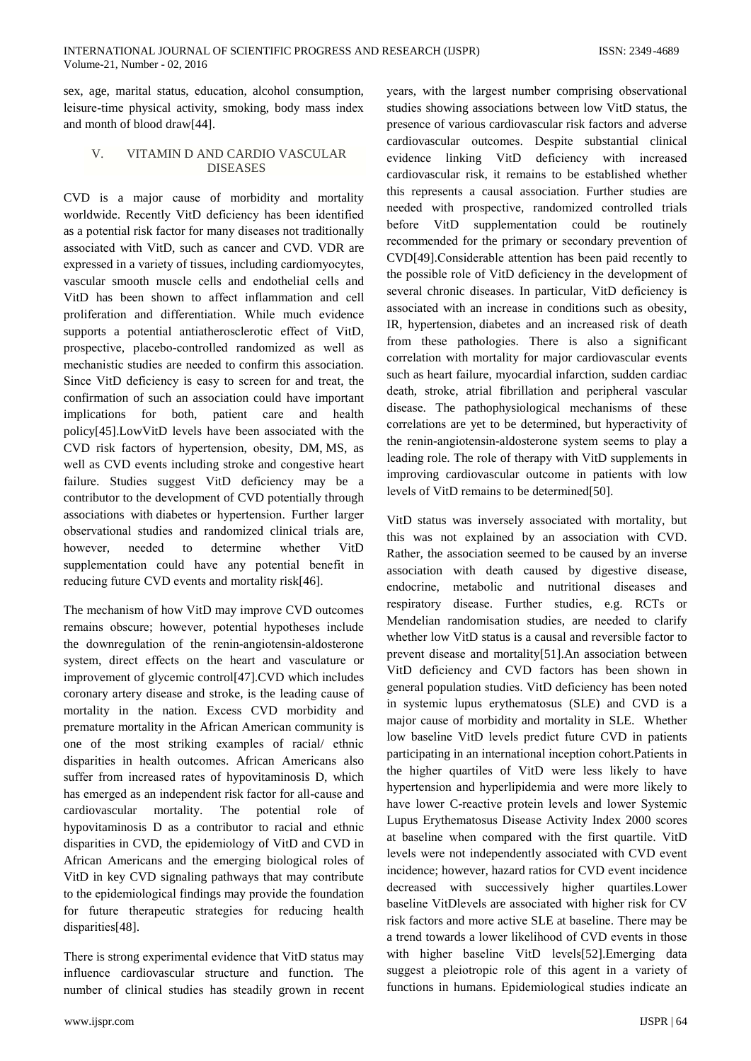sex, age, marital status, education, alcohol consumption, leisure-time physical activity, smoking, body mass index and month of blood draw[44].

# VITAMIN D AND CARDIO VASCULAR  $\mathbf{V}$ **DISEASES**

CVD is a major cause of morbidity and mortality worldwide. Recently VitD deficiency has been identified as a potential risk factor for many diseases not traditionally associated with VitD, such as cancer and CVD. VDR are expressed in a variety of tissues, including cardiomyocytes, vascular smooth muscle cells and endothelial cells and VitD has been shown to affect inflammation and cell proliferation and differentiation. While much evidence supports a potential antiatherosclerotic effect of VitD, prospective, placebo-controlled randomized as well as mechanistic studies are needed to confirm this association. Since VitD deficiency is easy to screen for and treat, the confirmation of such an association could have important implications for both, patient care and health policy[45].LowVitD levels have been associated with the CVD risk factors of hypertension, obesity, DM, MS, as well as CVD events including stroke and congestive heart failure. Studies suggest VitD deficiency may be a contributor to the development of CVD potentially through associations with diabetes or hypertension. Further larger observational studies and randomized clinical trials are. however needed  $\overline{f}$ determine whether VitD supplementation could have any potential benefit in reducing future CVD events and mortality risk[46].

The mechanism of how VitD may improve CVD outcomes remains obscure; however, potential hypotheses include the downregulation of the renin-angiotensin-aldosterone system, direct effects on the heart and vasculature or improvement of glycemic control[47].CVD which includes coronary artery disease and stroke, is the leading cause of mortality in the nation. Excess CVD morbidity and premature mortality in the African American community is one of the most striking examples of racial/ ethnic disparities in health outcomes. African Americans also suffer from increased rates of hypovitaminosis D, which has emerged as an independent risk factor for all-cause and cardiovascular mortality. The potential role of hypovitaminosis D as a contributor to racial and ethnic disparities in CVD, the epidemiology of VitD and CVD in African Americans and the emerging biological roles of VitD in key CVD signaling pathways that may contribute to the epidemiological findings may provide the foundation for future therapeutic strategies for reducing health disparities[48].

There is strong experimental evidence that VitD status may influence cardiovascular structure and function. The number of clinical studies has steadily grown in recent years, with the largest number comprising observational studies showing associations between low VitD status, the presence of various cardiovascular risk factors and adverse cardiovascular outcomes. Despite substantial clinical evidence linking VitD deficiency with increased cardiovascular risk, it remains to be established whether this represents a causal association. Further studies are needed with prospective, randomized controlled trials before VitD supplementation could be routinely recommended for the primary or secondary prevention of CVD[49].Considerable attention has been paid recently to the possible role of VitD deficiency in the development of several chronic diseases. In particular, VitD deficiency is associated with an increase in conditions such as obesity, IR, hypertension, diabetes and an increased risk of death from these pathologies. There is also a significant correlation with mortality for major cardiovascular events such as heart failure, myocardial infarction, sudden cardiac death, stroke, atrial fibrillation and peripheral vascular disease. The pathophysiological mechanisms of these correlations are yet to be determined, but hyperactivity of the renin-angiotensin-aldosterone system seems to play a leading role. The role of therapy with VitD supplements in improving cardiovascular outcome in patients with low levels of VitD remains to be determined [50].

VitD status was inversely associated with mortality, but this was not explained by an association with CVD. Rather, the association seemed to be caused by an inverse association with death caused by digestive disease, endocrine, metabolic and nutritional diseases and respiratory disease. Further studies, e.g. RCTs or Mendelian randomisation studies, are needed to clarify whether low VitD status is a causal and reversible factor to prevent disease and mortality[51]. An association between VitD deficiency and CVD factors has been shown in general population studies. VitD deficiency has been noted in systemic lupus erythematosus (SLE) and CVD is a major cause of morbidity and mortality in SLE. Whether low baseline VitD levels predict future CVD in patients participating in an international inception cohort. Patients in the higher quartiles of VitD were less likely to have hypertension and hyperlipidemia and were more likely to have lower C-reactive protein levels and lower Systemic Lupus Erythematosus Disease Activity Index 2000 scores at baseline when compared with the first quartile. VitD levels were not independently associated with CVD event incidence; however, hazard ratios for CVD event incidence decreased with successively higher quartiles. Lower baseline VitDlevels are associated with higher risk for CV risk factors and more active SLE at baseline. There may be a trend towards a lower likelihood of CVD events in those with higher baseline VitD levels[52]. Emerging data suggest a pleiotropic role of this agent in a variety of functions in humans. Epidemiological studies indicate an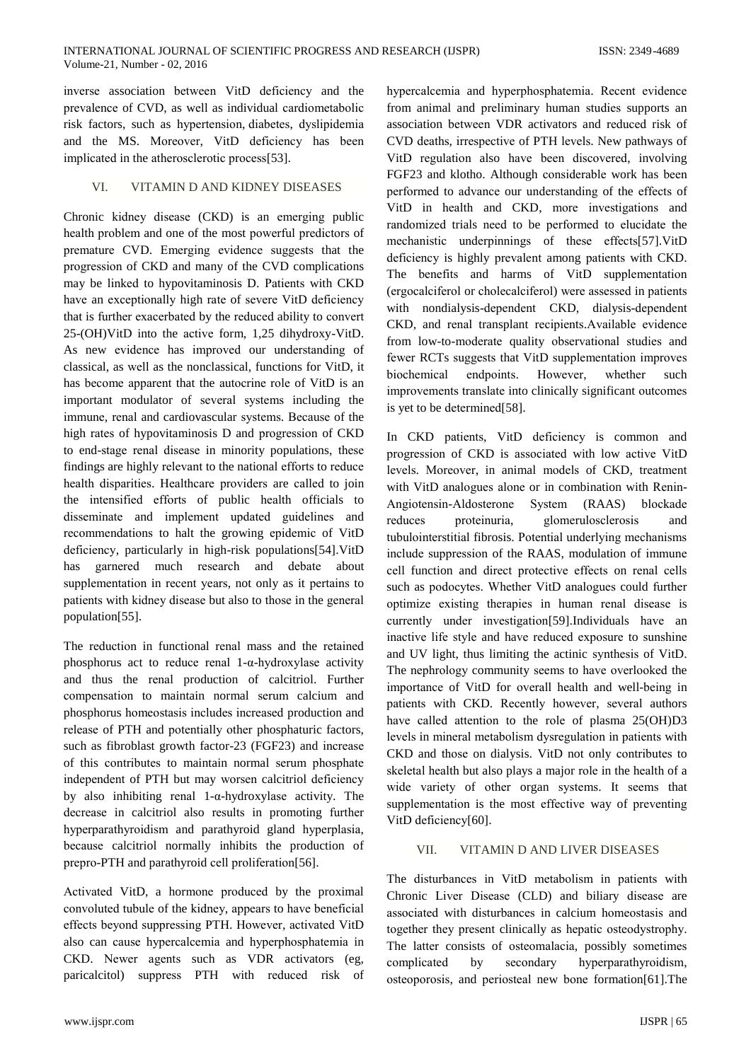inverse association between VitD deficiency and the prevalence of CVD, as well as individual cardiometabolic risk factors, such as hypertension, diabetes, dyslipidemia and the MS. Moreover, VitD deficiency has been implicated in the atherosclerotic process[53].

# VITAMIN D AND KIDNEY DISEASES **VI**

Chronic kidney disease (CKD) is an emerging public health problem and one of the most powerful predictors of premature CVD. Emerging evidence suggests that the progression of CKD and many of the CVD complications may be linked to hypovitaminosis D. Patients with CKD have an exceptionally high rate of severe VitD deficiency that is further exacerbated by the reduced ability to convert 25-(OH)VitD into the active form, 1,25 dihydroxy-VitD. As new evidence has improved our understanding of classical, as well as the nonclassical, functions for VitD, it has become apparent that the autocrine role of VitD is an important modulator of several systems including the immune, renal and cardiovascular systems. Because of the high rates of hypovitaminosis D and progression of CKD to end-stage renal disease in minority populations, these findings are highly relevant to the national efforts to reduce health disparities. Healthcare providers are called to join the intensified efforts of public health officials to disseminate and implement updated guidelines and recommendations to halt the growing epidemic of VitD deficiency, particularly in high-risk populations[54]. VitD garnered much research and debate about has supplementation in recent years, not only as it pertains to patients with kidney disease but also to those in the general population[55].

The reduction in functional renal mass and the retained phosphorus act to reduce renal 1- $\alpha$ -hydroxylase activity and thus the renal production of calcitriol. Further compensation to maintain normal serum calcium and phosphorus homeostasis includes increased production and release of PTH and potentially other phosphaturic factors, such as fibroblast growth factor-23 (FGF23) and increase of this contributes to maintain normal serum phosphate independent of PTH but may worsen calcitriol deficiency by also inhibiting renal  $1-\alpha$ -hydroxylase activity. The decrease in calcitriol also results in promoting further hyperparathyroidism and parathyroid gland hyperplasia, because calcitriol normally inhibits the production of prepro-PTH and parathyroid cell proliferation [56].

Activated VitD, a hormone produced by the proximal convoluted tubule of the kidney, appears to have beneficial effects beyond suppressing PTH. However, activated VitD also can cause hypercalcemia and hyperphosphatemia in CKD. Newer agents such as VDR activators (eg. paricalcitol) suppress PTH with reduced risk of

hypercalcemia and hyperphosphatemia. Recent evidence from animal and preliminary human studies supports an association between VDR activators and reduced risk of CVD deaths, irrespective of PTH levels. New pathways of VitD regulation also have been discovered, involving FGF23 and klotho. Although considerable work has been performed to advance our understanding of the effects of VitD in health and CKD, more investigations and randomized trials need to be performed to elucidate the mechanistic underpinnings of these effects[57]. VitD deficiency is highly prevalent among patients with CKD. The benefits and harms of VitD supplementation (ergocalciferol or cholecalciferol) were assessed in patients with nondialysis-dependent CKD, dialysis-dependent CKD, and renal transplant recipients. Available evidence from low-to-moderate quality observational studies and fewer RCTs suggests that VitD supplementation improves biochemical endpoints. However, whether such improvements translate into clinically significant outcomes is yet to be determined[58].

In CKD patients, VitD deficiency is common and progression of CKD is associated with low active VitD levels. Moreover, in animal models of CKD, treatment with VitD analogues alone or in combination with Renin-Angiotensin-Aldosterone System (RAAS) blockade reduces proteinuria. glomerulosclerosis and tubulointerstitial fibrosis. Potential underlying mechanisms include suppression of the RAAS, modulation of immune cell function and direct protective effects on renal cells such as podocytes. Whether VitD analogues could further optimize existing therapies in human renal disease is currently under investigation [59]. Individuals have an inactive life style and have reduced exposure to sunshine and UV light, thus limiting the actinic synthesis of VitD. The nephrology community seems to have overlooked the importance of VitD for overall health and well-being in patients with CKD. Recently however, several authors have called attention to the role of plasma 25(OH)D3 levels in mineral metabolism dysregulation in patients with CKD and those on dialysis. VitD not only contributes to skeletal health but also plays a major role in the health of a wide variety of other organ systems. It seems that supplementation is the most effective way of preventing VitD deficiency[60].

# VII. **VITAMIN D AND LIVER DISEASES**

The disturbances in VitD metabolism in patients with Chronic Liver Disease (CLD) and biliary disease are associated with disturbances in calcium homeostasis and together they present clinically as hepatic osteodystrophy. The latter consists of osteomalacia, possibly sometimes complicated  $b$ v secondary hyperparathyroidism, osteoporosis, and periosteal new bone formation [61]. The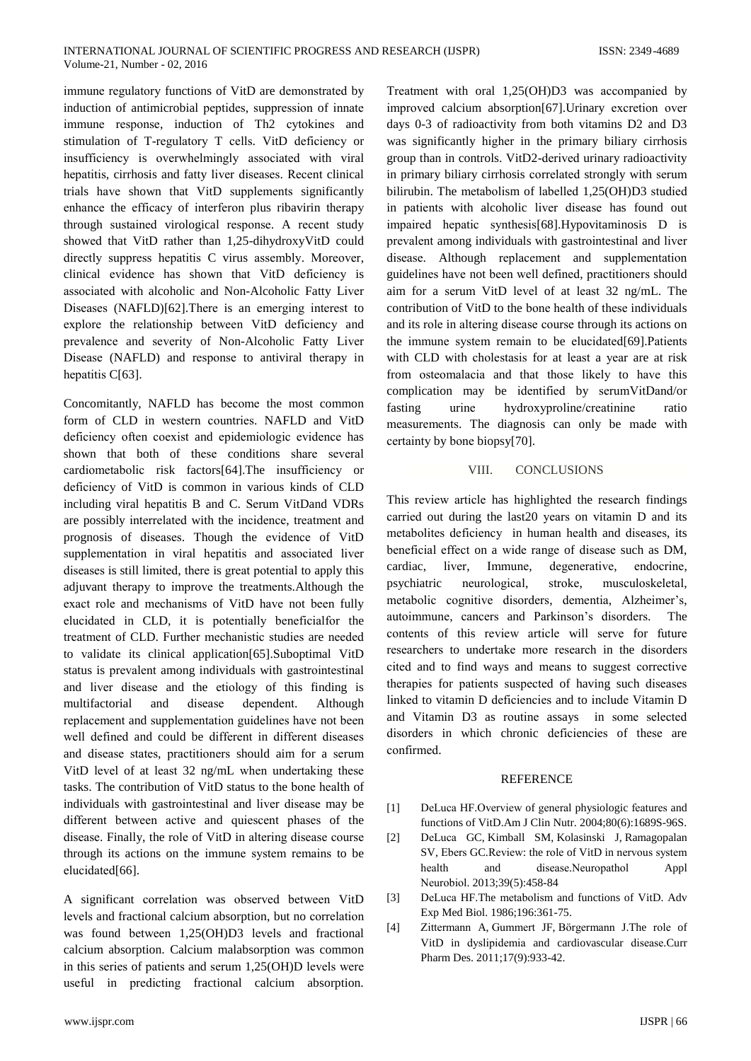immune regulatory functions of VitD are demonstrated by induction of antimicrobial peptides, suppression of innate immune response, induction of Th2 cytokines and stimulation of T-regulatory T cells. VitD deficiency or insufficiency is overwhelmingly associated with viral hepatitis, cirrhosis and fatty liver diseases. Recent clinical trials have shown that VitD supplements significantly enhance the efficacy of interferon plus ribavirin therapy through sustained virological response. A recent study showed that VitD rather than 1,25-dihydroxyVitD could directly suppress hepatitis C virus assembly. Moreover, clinical evidence has shown that VitD deficiency is associated with alcoholic and Non-Alcoholic Fatty Liver Diseases (NAFLD)[62]. There is an emerging interest to explore the relationship between VitD deficiency and prevalence and severity of Non-Alcoholic Fatty Liver Disease (NAFLD) and response to antiviral therapy in hepatitis C[63].

Concomitantly, NAFLD has become the most common form of CLD in western countries. NAFLD and VitD deficiency often coexist and epidemiologic evidence has shown that both of these conditions share several cardiometabolic risk factors [64]. The insufficiency or deficiency of VitD is common in various kinds of CLD including viral hepatitis B and C. Serum VitDand VDRs are possibly interrelated with the incidence, treatment and prognosis of diseases. Though the evidence of VitD supplementation in viral hepatitis and associated liver diseases is still limited, there is great potential to apply this adjuvant therapy to improve the treatments. Although the exact role and mechanisms of VitD have not been fully elucidated in CLD, it is potentially beneficialfor the treatment of CLD. Further mechanistic studies are needed to validate its clinical application [65]. Suboptimal VitD status is prevalent among individuals with gastrointestinal and liver disease and the etiology of this finding is multifactorial and disease dependent. Although replacement and supplementation guidelines have not been well defined and could be different in different diseases and disease states, practitioners should aim for a serum VitD level of at least 32 ng/mL when undertaking these tasks. The contribution of VitD status to the bone health of individuals with gastrointestinal and liver disease may be different between active and quiescent phases of the disease. Finally, the role of VitD in altering disease course through its actions on the immune system remains to be elucidated[66].

A significant correlation was observed between VitD levels and fractional calcium absorption, but no correlation was found between 1,25(OH)D3 levels and fractional calcium absorption. Calcium malabsorption was common in this series of patients and serum 1,25(OH)D levels were useful in predicting fractional calcium absorption.

Treatment with oral 1,25(OH)D3 was accompanied by improved calcium absorption[67]. Urinary excretion over days 0-3 of radioactivity from both vitamins D2 and D3 was significantly higher in the primary biliary cirrhosis group than in controls. VitD2-derived urinary radioactivity in primary biliary cirrhosis correlated strongly with serum bilirubin. The metabolism of labelled 1,25(OH)D3 studied in patients with alcoholic liver disease has found out impaired hepatic synthesis[68]. Hypovitaminosis D is prevalent among individuals with gastrointestinal and liver disease. Although replacement and supplementation guidelines have not been well defined, practitioners should aim for a serum VitD level of at least 32 ng/mL. The contribution of VitD to the bone health of these individuals and its role in altering disease course through its actions on the immune system remain to be elucidated[69]. Patients with CLD with cholestasis for at least a year are at risk from osteomalacia and that those likely to have this complication may be identified by serumVitDand/or fasting hydroxyproline/creatinine urine ratio measurements. The diagnosis can only be made with certainty by bone biopsy[70].

### VIII. **CONCLUSIONS**

This review article has highlighted the research findings carried out during the last20 years on vitamin D and its metabolites deficiency in human health and diseases, its beneficial effect on a wide range of disease such as DM, cardiac. liver. Immune, degenerative, endocrine, psychiatric neurological, stroke. musculoskeletal, metabolic cognitive disorders, dementia, Alzheimer's, autoimmune, cancers and Parkinson's disorders. The contents of this review article will serve for future researchers to undertake more research in the disorders cited and to find ways and means to suggest corrective therapies for patients suspected of having such diseases linked to vitamin D deficiencies and to include Vitamin D and Vitamin D3 as routine assays in some selected disorders in which chronic deficiencies of these are confirmed.

# **REFERENCE**

- DeLuca HF.Overview of general physiologic features and  $[1]$ functions of VitD.Am J Clin Nutr. 2004;80(6):1689S-96S.
- DeLuca GC, Kimball SM, Kolasinski J, Ramagopalan  $\lceil 2 \rceil$ SV, Ebers GC.Review: the role of VitD in nervous system disease.Neuropathol health and Appl Neurobiol. 2013;39(5):458-84
- DeLuca HF.The metabolism and functions of VitD. Adv  $\lceil 3 \rceil$ Exp Med Biol. 1986;196:361-75.
- $[4]$ Zittermann A, Gummert JF, Börgermann J.The role of VitD in dyslipidemia and cardiovascular disease.Curr Pharm Des. 2011;17(9):933-42.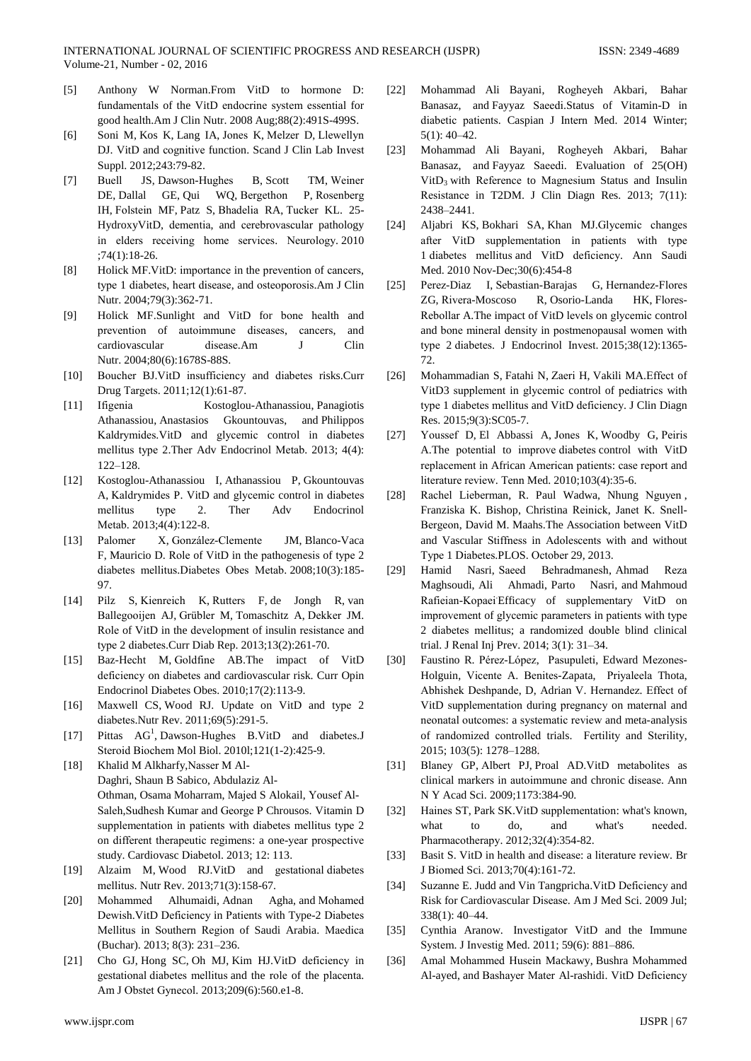- Anthony W Norman.From VitD to hormone D:  $[5]$ fundamentals of the VitD endocrine system essential for good health.Am J Clin Nutr. 2008 Aug;88(2):491S-499S.
- Soni M, Kos K, Lang IA, Jones K, Melzer D, Llewellyn  $[6]$ DJ. VitD and cognitive function. Scand J Clin Lab Invest Suppl. 2012;243:79-82.
- $[7]$ Buell JS, Dawson-Hughes B, Scott TM, Weiner DE, Dallal GE, Qui WQ, Bergethon P, Rosenberg IH, Folstein MF, Patz S, Bhadelia RA, Tucker KL. 25-HydroxyVitD, dementia, and cerebrovascular pathology in elders receiving home services. Neurology. 2010  $:74(1):18-26.$
- Holick MF.VitD: importance in the prevention of cancers,  $[8]$ type 1 diabetes, heart disease, and osteoporosis.Am J Clin Nutr. 2004;79(3):362-71.
- $[9]$ Holick MF.Sunlight and VitD for bone health and prevention of autoimmune diseases, cancers, and  $Clin$ cardiovascular disease Am  $\mathbf{I}$ Nutr. 2004;80(6):1678S-88S.
- $[10]$ Boucher BJ.VitD insufficiency and diabetes risks.Curr Drug Targets. 2011;12(1):61-87.
- $[11]$ Ifigenia Kostoglou-Athanassiou, Panagiotis Athanassiou, Anastasios Gkountouvas, and Philippos Kaldrymides. VitD and glycemic control in diabetes mellitus type 2. Ther Adv Endocrinol Metab. 2013; 4(4):  $122 - 128$
- $[12]$ Kostoglou-Athanassiou I, Athanassiou P, Gkountouvas A. Kaldrymides P. VitD and glycemic control in diabetes mellitus  $\overline{2}$ . Ther Endocrinol type  $Adv$ Metab. 2013;4(4):122-8.
- $[13]$ Palomer X, González-Clemente JM, Blanco-Vaca F, Mauricio D. Role of VitD in the pathogenesis of type 2 diabetes mellitus.Diabetes Obes Metab. 2008;10(3):185-97.
- [14] Pilz S, Kienreich K, Rutters F, de Jongh R, van Ballegooijen AJ, Grübler M, Tomaschitz A, Dekker JM. Role of VitD in the development of insulin resistance and type 2 diabetes.Curr Diab Rep. 2013;13(2):261-70.
- $[15]$ Baz-Hecht M, Goldfine AB. The impact of VitD deficiency on diabetes and cardiovascular risk. Curr Opin Endocrinol Diabetes Obes. 2010;17(2):113-9.
- Maxwell CS, Wood RJ. Update on VitD and type 2  $[16]$ diabetes. Nutr Rev. 2011;69(5):291-5.
- Pittas AG<sup>1</sup>, Dawson-Hughes B.VitD and diabetes.J  $[17]$ Steroid Biochem Mol Biol. 2010l;121(1-2):425-9.
- Khalid M Alkharfy, Nasser M Al- $[18]$ Daghri, Shaun B Sabico, Abdulaziz Al-Othman, Osama Moharram, Majed S Alokail, Yousef Al-Saleh, Sudhesh Kumar and George P Chrousos. Vitamin D supplementation in patients with diabetes mellitus type 2 on different therapeutic regimens: a one-year prospective study. Cardiovasc Diabetol. 2013; 12: 113.
- $[19]$ Alzaim M, Wood RJ.VitD and gestational diabetes mellitus. Nutr Rev. 2013;71(3):158-67.
- $[20]$ Mohammed Alhumaidi, Adnan Agha, and Mohamed Dewish. VitD Deficiency in Patients with Type-2 Diabetes Mellitus in Southern Region of Saudi Arabia. Maedica (Buchar). 2013; 8(3): 231-236.
- Cho GJ, Hong SC, Oh MJ, Kim HJ.VitD deficiency in  $[21]$ gestational diabetes mellitus and the role of the placenta. Am J Obstet Gynecol. 2013:209(6):560.e1-8.
- Mohammad Ali Bayani, Rogheyeh Akbari, Bahar  $[22]$ Banasaz, and Favyaz Saeedi. Status of Vitamin-D in diabetic patients. Caspian J Intern Med. 2014 Winter;  $5(1): 40-42.$
- Mohammad Ali Bayani, Rogheyeh Akbari, Bahar  $[23]$ Banasaz, and Fayyaz Saeedi. Evaluation of 25(OH) VitD<sub>3</sub> with Reference to Magnesium Status and Insulin Resistance in T2DM. J Clin Diagn Res. 2013; 7(11): 2438-2441.
- $[24]$ Aljabri KS, Bokhari SA, Khan MJ.Glycemic changes after VitD supplementation in patients with type 1 diabetes mellitus and VitD deficiency. Ann Saudi Med. 2010 Nov-Dec; 30(6): 454-8
- $[25]$ Perez-Diaz I, Sebastian-Barajas G, Hernandez-Flores R, Osorio-Landa ZG, Rivera-Moscoso HK Flores-Rebollar A.The impact of VitD levels on glycemic control and bone mineral density in postmenopausal women with type 2 diabetes. J Endocrinol Invest. 2015;38(12):1365- $72$
- $[26]$ Mohammadian S, Fatahi N, Zaeri H, Vakili MA. Effect of VitD3 supplement in glycemic control of pediatrics with type 1 diabetes mellitus and VitD deficiency. J Clin Diagn Res. 2015;9(3):SC05-7.
- $[27]$ Youssef D, El Abbassi A, Jones K, Woodby G, Peiris A.The potential to improve diabetes control with VitD replacement in African American patients: case report and literature review. Tenn Med. 2010:103(4):35-6.
- $[28]$ Rachel Lieberman, R. Paul Wadwa, Nhung Nguyen, Franziska K. Bishop, Christina Reinick, Janet K. Snell-Bergeon, David M. Maahs. The Association between VitD and Vascular Stiffness in Adolescents with and without Type 1 Diabetes.PLOS. October 29, 2013.
- Nasri, Saeed Behradmanesh, Ahmad  $[29]$ Hamid Reza Maghsoudi, Ali Ahmadi, Parto Nasri, and Mahmoud Rafieian-Kopaei Efficacy of supplementary VitD on improvement of glycemic parameters in patients with type 2 diabetes mellitus; a randomized double blind clinical trial. J Renal Inj Prev. 2014; 3(1): 31-34.
- $[30]$ Faustino R. Pérez-López, Pasupuleti, Edward Mezones-Holguin, Vicente A. Benites-Zapata, Privaleela Thota, Abhishek Deshpande, D, Adrian V. Hernandez. Effect of VitD supplementation during pregnancy on maternal and neonatal outcomes: a systematic review and meta-analysis of randomized controlled trials. Fertility and Sterility, 2015; 103(5): 1278-1288.
- $[31]$ Blaney GP, Albert PJ, Proal AD.VitD metabolites as clinical markers in autoimmune and chronic disease. Ann N Y Acad Sci. 2009;1173:384-90.
- $[32]$ Haines ST, Park SK. VitD supplementation: what's known, what and what's needed.  $f<sub>O</sub>$ do. Pharmacotherapy. 2012;32(4):354-82.
- $[33]$ Basit S. VitD in health and disease: a literature review. Br J Biomed Sci. 2013;70(4):161-72.
- Suzanne E. Judd and Vin Tangpricha. VitD Deficiency and  $[34]$ Risk for Cardiovascular Disease. Am J Med Sci. 2009 Jul;  $338(1): 40-44.$
- Cynthia Aranow. Investigator VitD and the Immune  $[35]$ System. J Investig Med. 2011; 59(6): 881-886.
- $[36]$ Amal Mohammed Husein Mackawy, Bushra Mohammed Al-ayed, and Bashayer Mater Al-rashidi. VitD Deficiency